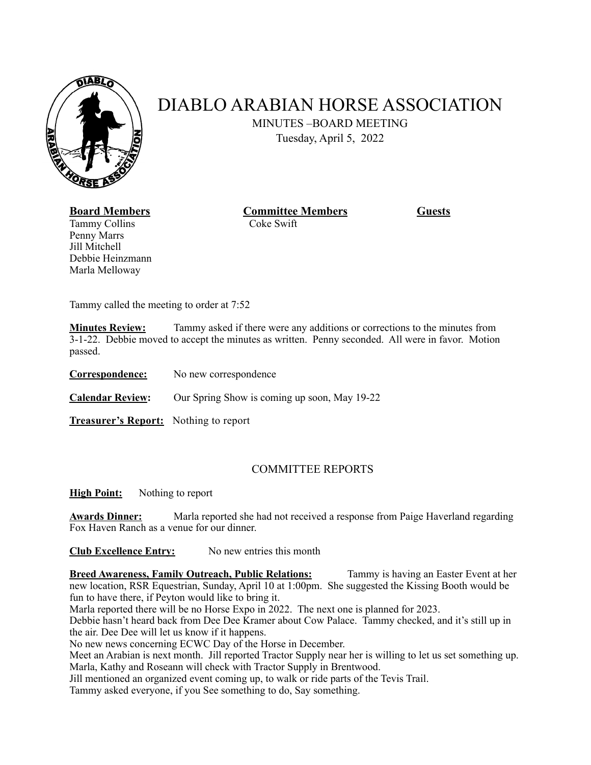

## DIABLO ARABIAN HORSE ASSOCIATION

MINUTES –BOARD MEETING

Tuesday, April 5, 2022

Marla Melloway

Tammy Collins Coke Swift Penny Marrs Jill Mitchell Debbie Heinzmann

**Board Members Committee Members Guests** 

Tammy called the meeting to order at 7:52

**Minutes Review:** Tammy asked if there were any additions or corrections to the minutes from 3-1-22. Debbie moved to accept the minutes as written. Penny seconded. All were in favor. Motion passed.

**Correspondence:** No new correspondence

**Calendar Review:** Our Spring Show is coming up soon, May 19-22

**Treasurer's Report:** Nothing to report

## COMMITTEE REPORTS

**High Point:** Nothing to report

**Awards Dinner:** Marla reported she had not received a response from Paige Haverland regarding Fox Haven Ranch as a venue for our dinner.

**Club Excellence Entry:** No new entries this month

**Breed Awareness, Family Outreach, Public Relations:** Tammy is having an Easter Event at her new location, RSR Equestrian, Sunday, April 10 at 1:00pm. She suggested the Kissing Booth would be fun to have there, if Peyton would like to bring it.

Marla reported there will be no Horse Expo in 2022. The next one is planned for 2023.

Debbie hasn't heard back from Dee Dee Kramer about Cow Palace. Tammy checked, and it's still up in the air. Dee Dee will let us know if it happens.

No new news concerning ECWC Day of the Horse in December.

Meet an Arabian is next month. Jill reported Tractor Supply near her is willing to let us set something up. Marla, Kathy and Roseann will check with Tractor Supply in Brentwood.

Jill mentioned an organized event coming up, to walk or ride parts of the Tevis Trail.

Tammy asked everyone, if you See something to do, Say something.